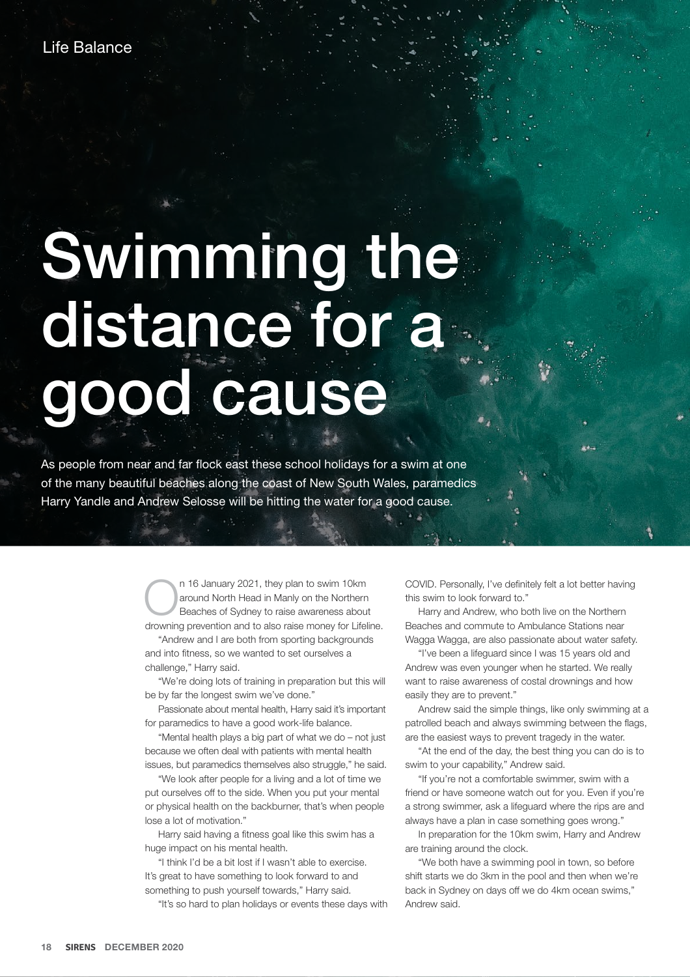## Swimming the distance for a good cause

As people from near and far fock east these school holidays for a swim at one of the many beautiful beaches along the coast of New South Wales, paramedics Harry Yandle and Andrew Selosse will be hitting the water for a good cause.

> n 16 January 2021, they plan to swim 10km<br>around North Head in Manly on the Northern<br>Beaches of Sydney to raise awareness about around North Head in Manly on the Northern Beaches of Sydney to raise awareness about drowning prevention and to also raise money for Lifeline.

"Andrew and I are both from sporting backgrounds and into fitness, so we wanted to set ourselves a challenge," Harry said.

"We're doing lots of training in preparation but this will be by far the longest swim we've done."

Passionate about mental health, Harry said it's important for paramedics to have a good work-life balance.

"Mental health plays a big part of what we do – not just because we often deal with patients with mental health issues, but paramedics themselves also struggle," he said.

"We look after people for a living and a lot of time we put ourselves off to the side. When you put your mental or physical health on the backburner, that's when people lose a lot of motivation."

Harry said having a ftness goal like this swim has a huge impact on his mental health.

"I think I'd be a bit lost if I wasn't able to exercise. It's great to have something to look forward to and something to push yourself towards," Harry said. "It's so hard to plan holidays or events these days with COVID. Personally, I've definitely felt a lot better having this swim to look forward to."

Harry and Andrew, who both live on the Northern Beaches and commute to Ambulance Stations near Wagga Wagga, are also passionate about water safety.

"I've been a lifeguard since I was 15 years old and Andrew was even younger when he started. We really want to raise awareness of costal drownings and how easily they are to prevent."

Andrew said the simple things, like only swimming at a patrolled beach and always swimming between the fags, are the easiest ways to prevent tragedy in the water.

"At the end of the day, the best thing you can do is to swim to your capability," Andrew said.

"If you're not a comfortable swimmer, swim with a friend or have someone watch out for you. Even if you're a strong swimmer, ask a lifeguard where the rips are and always have a plan in case something goes wrong."

In preparation for the 10km swim, Harry and Andrew are training around the clock.

"We both have a swimming pool in town, so before shift starts we do 3km in the pool and then when we're back in Sydney on days off we do 4km ocean swims," Andrew said.